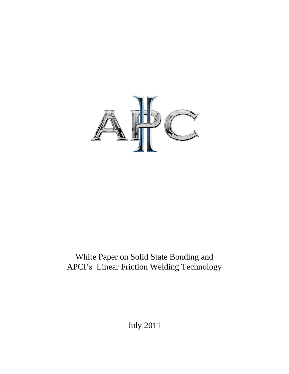

# White Paper on Solid State Bonding and APCI's Linear Friction Welding Technology

July 2011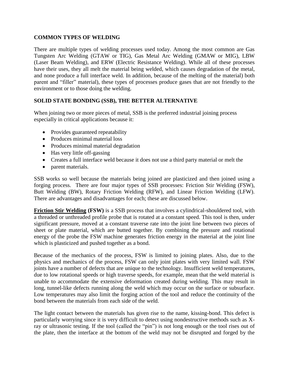## **COMMON TYPES OF WELDING**

There are multiple types of welding processes used today. Among the most common are Gas Tungsten Arc Welding (GTAW or TIG), Gas Metal Arc Welding (GMAW or MIG), LBW (Laser Beam Welding), and ERW (Electric Resistance Welding). While all of these processes have their uses, they all melt the material being welded, which causes degradation of the metal, and none produce a full interface weld. In addition, because of the melting of the material) both parent and "filler" material), these types of processes produce gases that are not friendly to the environment or to those doing the welding.

## **SOLID STATE BONDING (SSB), THE BETTER ALTERNATIVE**

When joining two or more pieces of metal, SSB is the preferred industrial joining process especially in critical applications because it:

- Provides guaranteed repeatability
- Produces minimal material loss
- Produces minimal material degradation
- Has very little off-gassing
- Creates a full interface weld because it does not use a third party material or melt the
- parent materials.

SSB works so well because the materials being joined are plasticized and then joined using a forging process. There are four major types of SSB processes: Friction Stir Welding (FSW), Butt Welding (BW), Rotary Friction Welding (RFW), and Linear Friction Welding (LFW). There are advantages and disadvantages for each; these are discussed below.

**Friction Stir Welding (FSW)** is a SSB process that involves a cylindrical-shouldered tool, with a threaded or unthreaded profile probe that is rotated at a constant speed. This tool is then, under significant pressure, moved at a constant traverse rate into the joint line between two pieces of sheet or plate material, which are butted together. By combining the pressure and rotational energy of the probe the FSW machine generates friction energy in the material at the joint line which is plasticized and pushed together as a bond.

Because of the mechanics of the process, FSW is limited to joining plates. Also, due to the physics and mechanics of the process, FSW can only joint plates with very limited wall. FSW joints have a number of defects that are unique to the technology. Insufficient weld temperatures, due to low rotational speeds or high traverse speeds, for example, mean that the weld material is unable to accommodate the extensive deformation created during welding. This may result in long, tunnel-like defects running along the weld which may occur on the surface or subsurface. Low temperatures may also limit the forging action of the tool and reduce the continuity of the bond between the materials from each side of the weld.

The light contact between the materials has given rise to the name, kissing-bond. This defect is particularly worrying since it is very difficult to detect using nondestructive methods such as Xray or ultrasonic testing. If the tool (called the "pin") is not long enough or the tool rises out of the plate, then the interface at the bottom of the weld may not be disrupted and forged by the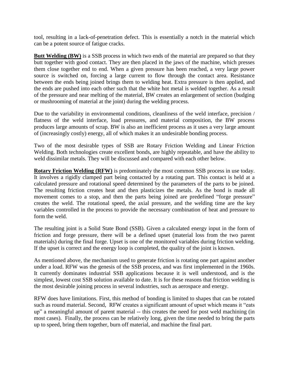tool, resulting in a lack-of-penetration defect. This is essentially a notch in the material which can be a potent source of fatigue cracks.

**Butt Welding (BW)** is a SSB process in which two ends of the material are prepared so that they butt together with good contact. They are then placed in the jaws of the machine, which presses them close together end to end. When a given pressure has been reached, a very large power source is switched on, forcing a large current to flow through the contact area. Resistance between the ends being joined brings them to welding heat. Extra pressure is then applied, and the ends are pushed into each other such that the white hot metal is welded together. As a result of the pressure and near melting of the material, BW creates an enlargement of section (budging or mushrooming of material at the joint) during the welding process.

Due to the variability in environmental conditions, cleanliness of the weld interface, precision / flatness of the weld interface, load pressures, and material composition, the BW process produces large amounts of scrap. BW is also an inefficient process as it uses a very large amount of (increasingly costly) energy, all of which makes it an undesirable bonding process.

Two of the most desirable types of SSB are Rotary Friction Welding and Linear Friction Welding. Both technologies create excellent bonds, are highly repeatable, and have the ability to weld dissimilar metals. They will be discussed and compared with each other below.

**Rotary Friction Welding (RFW)** is predominately the most common SSB process in use today. It involves a rigidly clamped part being contacted by a rotating part. This contact is held at a calculated pressure and rotational speed determined by the parameters of the parts to be joined. The resulting friction creates heat and then plasticizes the metals. As the bond is made all movement comes to a stop, and then the parts being joined are predefined "forge pressure" creates the weld. The rotational speed, the axial pressure, and the welding time are the key variables controlled in the process to provide the necessary combination of heat and pressure to form the weld.

The resulting joint is a Solid State Bond (SSB). Given a calculated energy input in the form of friction and forge pressure, there will be a defined upset (material loss from the two parent materials) during the final forge. Upset is one of the monitored variables during friction welding. If the upset is correct and the energy loop is completed, the quality of the joint is known.

As mentioned above, the mechanism used to generate friction is rotating one part against another under a load. RFW was the genesis of the SSB process, and was first implemented in the 1960s. It currently dominates industrial SSB applications because it is well understood, and is the simplest, lowest cost SSB solution available to date. It is for these reasons that friction welding is the most desirable joining process in several industries, such as aerospace and energy.

RFW does have limitations. First, this method of bonding is limited to shapes that can be rotated such as round material. Second, RFW creates a significant amount of upset which means it "eats up" a meaningful amount of parent material -- this creates the need for post weld machining (in most cases). Finally, the process can be relatively long, given the time needed to bring the parts up to speed, bring them together, burn off material, and machine the final part.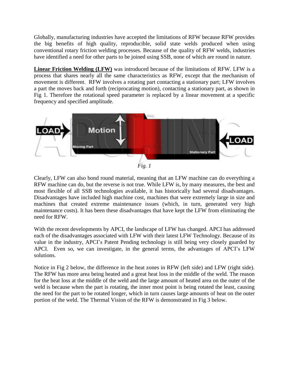Globally, manufacturing industries have accepted the limitations of RFW because RFW provides the big benefits of high quality, reproducible, solid state welds produced when using conventional rotary friction welding processes. Because of the quality of RFW welds, industries have identified a need for other parts to be joined using SSB, none of which are round in nature.

**Linear Friction Welding (LFW)** was introduced because of the limitations of RFW. LFW is a process that shares nearly all the same characteristics as RFW, except that the mechanism of movement is different. RFW involves a rotating part contacting a stationary part; LFW involves a part the moves back and forth (reciprocating motion), contacting a stationary part, as shown in Fig 1. Therefore the rotational speed parameter is replaced by a linear movement at a specific frequency and specified amplitude.



Clearly, LFW can also bond round material, meaning that an LFW machine can do everything a RFW machine can do, but the reverse is not true. While LFW is, by many measures, the best and most flexible of all SSB technologies available, it has historically had several disadvantages. Disadvantages have included high machine cost, machines that were extremely large in size and machines that created extreme maintenance issues (which, in turn, generated very high maintenance costs). It has been these disadvantages that have kept the LFW from eliminating the need for RFW.

With the recent developments by APCI, the landscape of LFW has changed. APCI has addressed each of the disadvantages associated with LFW with their latest LFW Technology. Because of its value in the industry, APCI's Patent Pending technology is still being very closely guarded by APCI. Even so, we can investigate, in the general terms, the advantages of APCI's LFW solutions.

Notice in Fig 2 below, the difference in the heat zones in RFW (left side) and LFW (right side). The RFW has more area being heated and a great heat loss in the middle of the weld. The reason for the heat loss at the middle of the weld and the large amount of heated area on the outer of the weld is because when the part is rotating, the inner most point is being rotated the least, causing the need for the part to be rotated longer, which in turn causes large amounts of heat on the outer portion of the weld. The Thermal Vision of the RFW is demonstrated in Fig 3 below.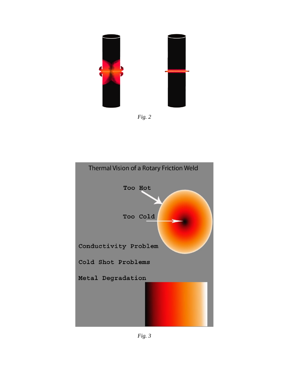



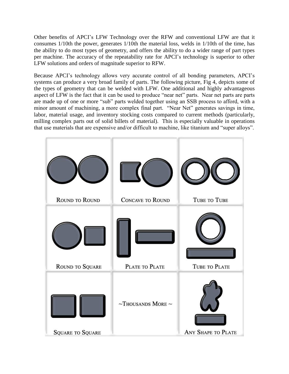Other benefits of APCI's LFW Technology over the RFW and conventional LFW are that it consumes 1/10th the power, generates 1/10th the material loss, welds in 1/10th of the time, has the ability to do most types of geometry, and offers the ability to do a wider range of part types per machine. The accuracy of the repeatability rate for APCI's technology is superior to other LFW solutions and orders of magnitude superior to RFW.

Because APCI's technology allows very accurate control of all bonding parameters, APCI's systems can produce a very broad family of parts. The following picture, Fig 4, depicts some of the types of geometry that can be welded with LFW. One additional and highly advantageous aspect of LFW is the fact that it can be used to produce "near net" parts. Near net parts are parts are made up of one or more "sub" parts welded together using an SSB process to afford, with a minor amount of machining, a more complex final part. "Near Net" generates savings in time, labor, material usage, and inventory stocking costs compared to current methods (particularly, milling complex parts out of solid billets of material). This is especially valuable in operations that use materials that are expensive and/or difficult to machine, like titanium and "super alloys".

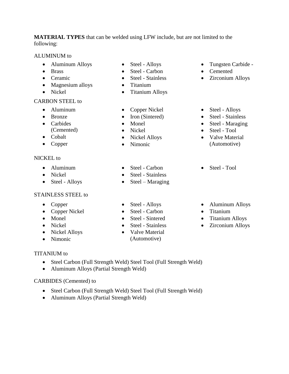**MATERIAL TYPES** that can be welded using LFW include, but are not limited to the following:

## ALUMINUM to

- Aluminum Alloys
- Brass
- Ceramic
- Magnesium alloys
- Nickel

## CARBON STEEL to

- Aluminum
- Bronze
- Carbides (Cemented)
- Cobalt
- Copper

# NICKEL to

- Aluminum
- Nickel
- Steel Alloys

# STAINLESS STEEL to

- Copper
- Copper Nickel
- Monel
- Nickel
- Nickel Alloys
- Nimonic

# TITANIUM to

- Steel Carbon (Full Strength Weld) Steel Tool (Full Strength Weld)
- Aluminum Alloys (Partial Strength Weld)

# CARBIDES (Cemented) to

- Steel Carbon (Full Strength Weld) Steel Tool (Full Strength Weld)
- Aluminum Alloys (Partial Strength Weld)
- Steel Alloys
- Steel Carbon
- Steel Stainless
- Titanium
- Titanium Alloys
- Copper Nickel
- Iron (Sintered)
- Monel
- Nickel
- Nickel Alloys
- Nimonic
- Steel Carbon
- Steel Stainless
- $\bullet$  Steel Maraging
- Steel Alloys
- Steel Carbon
- Steel Sintered
- Steel Stainless
- Valve Material (Automotive)
- Tungsten Carbide -
- Cemented
- Zirconium Alloys
- Steel Alloys
- Steel Stainless
- Steel Maraging
- Steel Tool
- Valve Material (Automotive)
- Steel Tool
- Aluminum Alloys
- Titanium
- Titanium Alloys
- Zirconium Alloys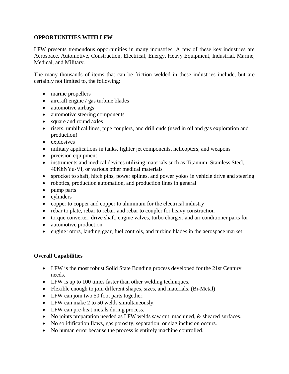# **OPPORTUNITIES WITH LFW**

LFW presents tremendous opportunities in many industries. A few of these key industries are Aerospace, Automotive, Construction, Electrical, Energy, Heavy Equipment, Industrial, Marine, Medical, and Military.

The many thousands of items that can be friction welded in these industries include, but are certainly not limited to, the following:

- marine propellers
- aircraft engine / gas turbine blades
- automotive airbags
- automotive steering components
- square and round axles
- risers, umbilical lines, pipe couplers, and drill ends (used in oil and gas exploration and production)
- explosives
- military applications in tanks, fighter jet components, helicopters, and weapons
- precision equipment
- instruments and medical devices utilizing materials such as Titanium, Stainless Steel, 40KhNYu-VI, or various other medical materials
- sprocket to shaft, hitch pins, power splines, and power yokes in vehicle drive and steering
- robotics, production automation, and production lines in general
- pump parts
- cylinders
- copper to copper and copper to aluminum for the electrical industry
- rebar to plate, rebar to rebar, and rebar to coupler for heavy construction
- torque converter, drive shaft, engine valves, turbo charger, and air conditioner parts for
- automotive production
- engine rotors, landing gear, fuel controls, and turbine blades in the aerospace market

# **Overall Capabilities**

- LFW is the most robust Solid State Bonding process developed for the 21st Century needs.
- LFW is up to 100 times faster than other welding techniques.
- Flexible enough to join different shapes, sizes, and materials. (Bi-Metal)
- LFW can join two 50 foot parts together.
- LFW can make 2 to 50 welds simultaneously.
- LFW can pre-heat metals during process.
- No joints preparation needed as LFW welds saw cut, machined, & sheared surfaces.
- No solidification flaws, gas porosity, separation, or slag inclusion occurs.
- No human error because the process is entirely machine controlled.